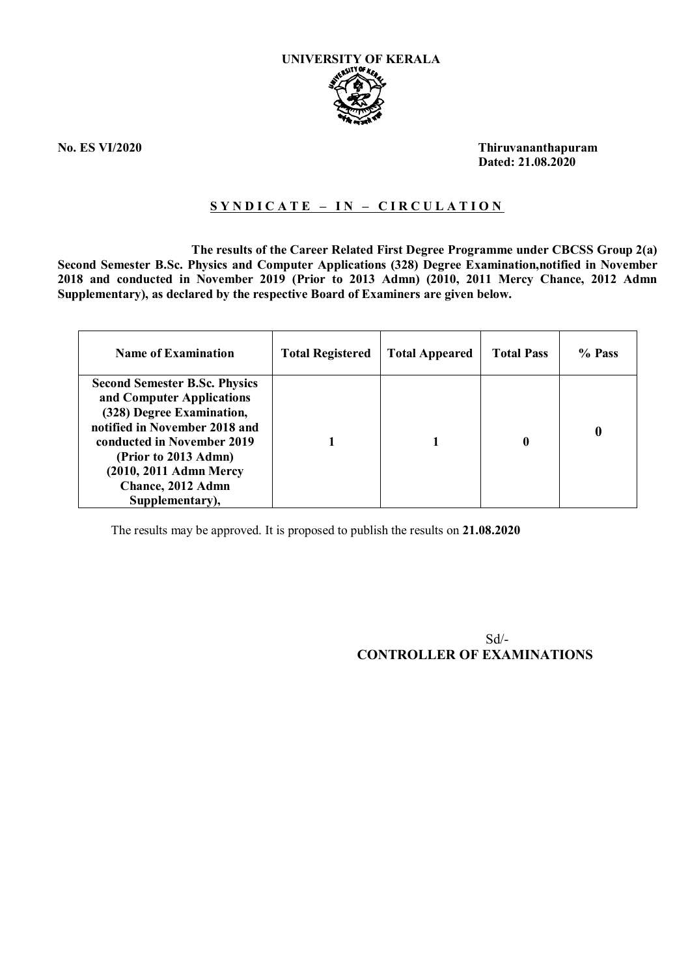

**No. ES VI/2020 Thiruvananthapuram Dated: 21.08.2020**

## **S Y N D I C A T E – I N – C I R C U L A T I O N**

 **The results of the Career Related First Degree Programme under CBCSS Group 2(a) Second Semester B.Sc. Physics and Computer Applications (328) Degree Examination,notified in November 2018 and conducted in November 2019 (Prior to 2013 Admn) (2010, 2011 Mercy Chance, 2012 Admn Supplementary), as declared by the respective Board of Examiners are given below.**

| <b>Name of Examination</b>                                                                                                                                                                                                                              | <b>Total Registered</b> | <b>Total Appeared</b> | <b>Total Pass</b> | % Pass |
|---------------------------------------------------------------------------------------------------------------------------------------------------------------------------------------------------------------------------------------------------------|-------------------------|-----------------------|-------------------|--------|
| <b>Second Semester B.Sc. Physics</b><br>and Computer Applications<br>(328) Degree Examination,<br>notified in November 2018 and<br>conducted in November 2019<br>(Prior to 2013 Admn)<br>(2010, 2011 Admn Mercy<br>Chance, 2012 Admn<br>Supplementary), |                         |                       | 0                 | 0      |

The results may be approved. It is proposed to publish the results on **21.08.2020**

 Sd/- **CONTROLLER OF EXAMINATIONS**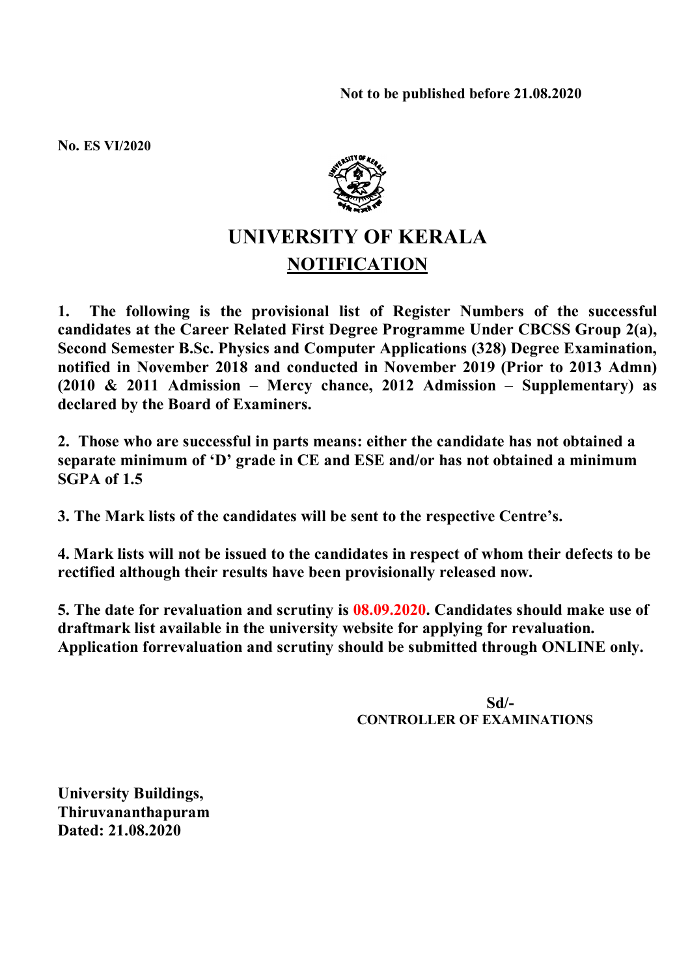**No. ES VI/2020**



## **UNIVERSITY OF KERALA NOTIFICATION**

**1. The following is the provisional list of Register Numbers of the successful candidates at the Career Related First Degree Programme Under CBCSS Group 2(a), Second Semester B.Sc. Physics and Computer Applications (328) Degree Examination, notified in November 2018 and conducted in November 2019 (Prior to 2013 Admn) (2010 & 2011 Admission – Mercy chance, 2012 Admission – Supplementary) as declared by the Board of Examiners.**

**2. Those who are successful in parts means: either the candidate has not obtained a separate minimum of 'D' grade in CE and ESE and/or has not obtained a minimum SGPA of 1.5**

**3. The Mark lists of the candidates will be sent to the respective Centre's.**

**4. Mark lists will not be issued to the candidates in respect of whom their defects to be rectified although their results have been provisionally released now.**

**5. The date for revaluation and scrutiny is 08.09.2020. Candidates should make use of draftmark list available in the university website for applying for revaluation. Application forrevaluation and scrutiny should be submitted through ONLINE only.**

> **Sd/- CONTROLLER OF EXAMINATIONS**

**University Buildings, Thiruvananthapuram Dated: 21.08.2020**